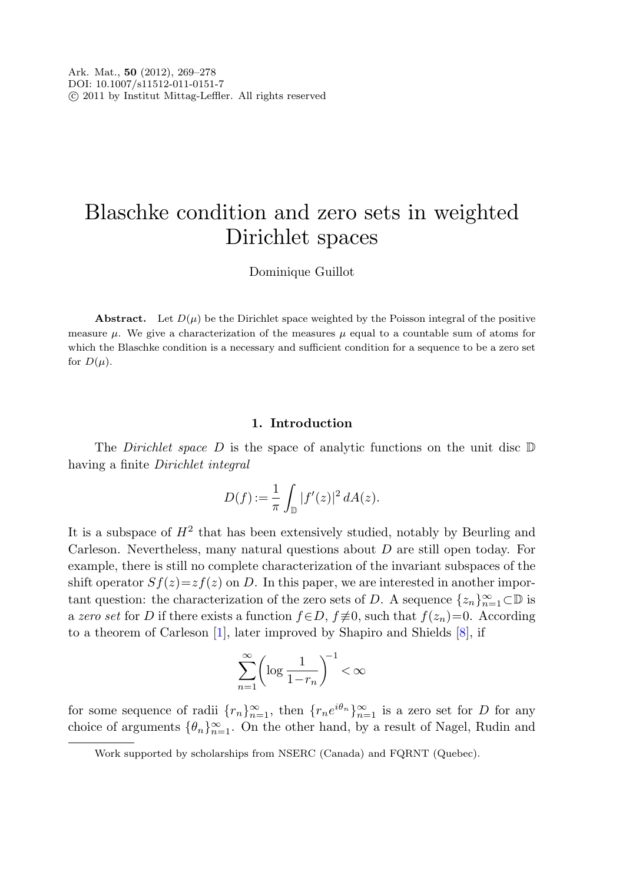# Blaschke condition and zero sets in weighted Dirichlet spaces

Dominique Guillot

**Abstract.** Let  $D(\mu)$  be the Dirichlet space weighted by the Poisson integral of the positive measure  $\mu$ . We give a characterization of the measures  $\mu$  equal to a countable sum of atoms for which the Blaschke condition is a necessary and sufficient condition for a sequence to be a zero set for  $D(\mu)$ .

# **1. Introduction**

The *Dirichlet space* D is the space of analytic functions on the unit disc  $D$ having a finite Dirichlet integral

$$
D(f) := \frac{1}{\pi} \int_{\mathbb{D}} |f'(z)|^2 dA(z).
$$

It is a subspace of  $H^2$  that has been extensively studied, notably by Beurling and Carleson. Nevertheless, many natural questions about D are still open today. For example, there is still no complete characterization of the invariant subspaces of the shift operator  $Sf(z)=zf(z)$  on D. In this paper, we are interested in another important question: the characterization of the zero sets of D. A sequence  $\{z_n\}_{n=1}^{\infty} \subset \mathbb{D}$  is a zero set for D if there exists a function  $f \in D$ ,  $f \neq 0$ , such that  $f(z_n)=0$ . According to a theorem of Carleson [[1\]](#page-8-0), later improved by Shapiro and Shields [[8\]](#page-9-0), if

$$
\sum_{n=1}^{\infty} \left( \log \frac{1}{1 - r_n} \right)^{-1} < \infty
$$

for some sequence of radii  $\{r_n\}_{n=1}^{\infty}$ , then  $\{r_ne^{i\theta_n}\}_{n=1}^{\infty}$  is a zero set for D for any choice of arguments  $\{\theta_n\}_{n=1}^{\infty}$ . On the other hand, by a result of Nagel, Rudin and

Work supported by scholarships from NSERC (Canada) and FQRNT (Quebec).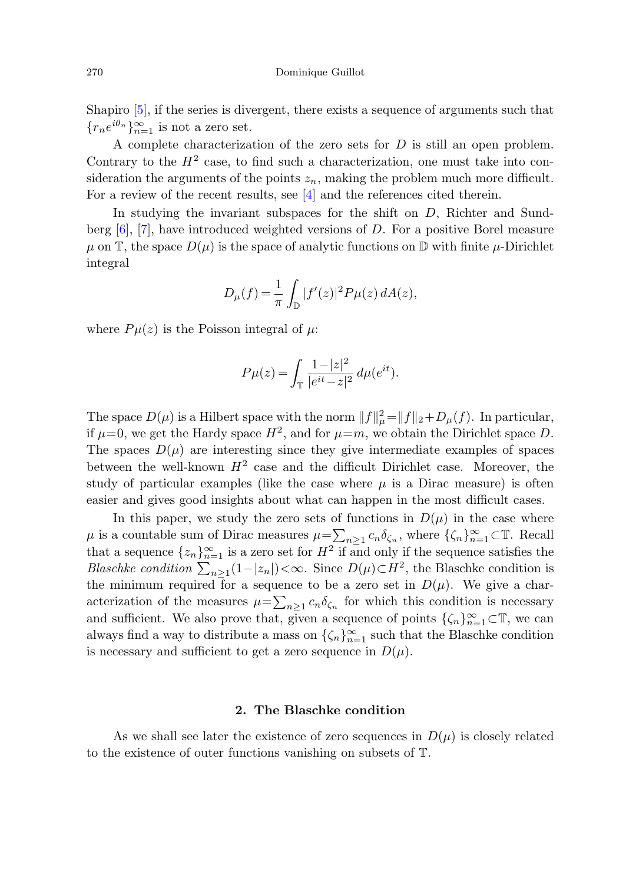Shapiro [[5\]](#page-8-1), if the series is divergent, there exists a sequence of arguments such that  ${r_ne^{i\theta_n}}_{n=1}^{\infty}$  is not a zero set.

A complete characterization of the zero sets for D is still an open problem. Contrary to the  $H<sup>2</sup>$  case, to find such a characterization, one must take into consideration the arguments of the points  $z_n$ , making the problem much more difficult. For a review of the recent results, see [[4\]](#page-8-2) and the references cited therein.

In studying the invariant subspaces for the shift on  $D$ , Richter and Sundberg  $[6]$  $[6]$ ,  $[7]$  $[7]$ , have introduced weighted versions of D. For a positive Borel measure  $\mu$  on T, the space  $D(\mu)$  is the space of analytic functions on D with finite  $\mu$ -Dirichlet integral

$$
D_{\mu}(f) = \frac{1}{\pi} \int_{\mathbb{D}} |f'(z)|^2 P \mu(z) dA(z),
$$

where  $P\mu(z)$  is the Poisson integral of  $\mu$ :

$$
P\mu(z) = \int_{\mathbb{T}} \frac{1 - |z|^2}{|e^{it} - z|^2} \, d\mu(e^{it}).
$$

The space  $D(\mu)$  is a Hilbert space with the norm  $||f||_{\mu}^2 = ||f||_2 + D_{\mu}(f)$ . In particular, if  $\mu=0$ , we get the Hardy space  $H^2$ , and for  $\mu=m$ , we obtain the Dirichlet space D. The spaces  $D(\mu)$  are interesting since they give intermediate examples of spaces between the well-known  $H^2$  case and the difficult Dirichlet case. Moreover, the study of particular examples (like the case where  $\mu$  is a Dirac measure) is often easier and gives good insights about what can happen in the most difficult cases.

In this paper, we study the zero sets of functions in  $D(\mu)$  in the case where  $\mu$  is a countable sum of Dirac measures  $\mu = \sum_{n\geq 1} c_n \delta_{\zeta_n}$ , where  $\{\zeta_n\}_{n=1}^{\infty} \subset \mathbb{T}$ . Recall that a sequence  $\{z_n\}_{n=1}^{\infty}$  is a zero set for  $H^2$  if and only if the sequence satisfies the Blaschke condition  $\sum_{n\geq 1}(1-|z_n|)<\infty$ . Since  $D(\mu)\subset H^2$ , the Blaschke condition is the minimum required for a sequence to be a zero set in  $D(\mu)$ . We give a characterization of the measures  $\mu = \sum_{n\geq 1} c_n \delta_{\zeta_n}$  for which this condition is necessary and sufficient. We also prove that, given a sequence of points  $\{\zeta_n\}_{n=1}^{\infty}$   $\subset$  T, we can always find a way to distribute a mass on  $\{\zeta_n\}_{n=1}^{\infty}$  such that the Blaschke condition is necessary and sufficient to get a zero sequence in  $D(\mu)$ .

### **2. The Blaschke condition**

As we shall see later the existence of zero sequences in  $D(\mu)$  is closely related to the existence of outer functions vanishing on subsets of T.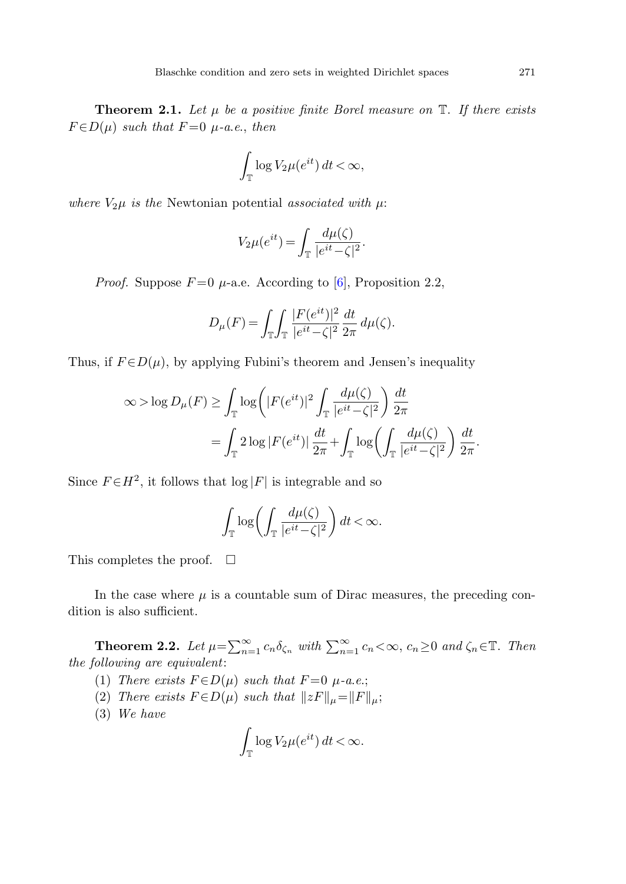<span id="page-2-0"></span>**Theorem 2.1.** Let  $\mu$  be a positive finite Borel measure on  $\mathbb{T}$ . If there exists  $F \in D(\mu)$  such that  $F=0$   $\mu$ -a.e., then

$$
\int_{\mathbb{T}} \log V_2 \mu(e^{it}) dt < \infty,
$$

where  $V_2\mu$  is the Newtonian potential associated with  $\mu$ .

$$
V_2\mu(e^{it}) = \int_{\mathbb{T}} \frac{d\mu(\zeta)}{|e^{it} - \zeta|^2}.
$$

*Proof.* Suppose  $F=0$   $\mu$ -a.e. According to [[6](#page-8-3)], Proposition 2.2,

$$
D_{\mu}(F) = \int_{\mathbb{T}} \int_{\mathbb{T}} \frac{|F(e^{it})|^2}{|e^{it} - \zeta|^2} \frac{dt}{2\pi} d\mu(\zeta).
$$

Thus, if  $F \in D(\mu)$ , by applying Fubini's theorem and Jensen's inequality

$$
\infty > \log D_{\mu}(F) \ge \int_{\mathbb{T}} \log \left( |F(e^{it})|^2 \int_{\mathbb{T}} \frac{d\mu(\zeta)}{|e^{it} - \zeta|^2} \right) \frac{dt}{2\pi}
$$

$$
= \int_{\mathbb{T}} 2 \log |F(e^{it})| \frac{dt}{2\pi} + \int_{\mathbb{T}} \log \left( \int_{\mathbb{T}} \frac{d\mu(\zeta)}{|e^{it} - \zeta|^2} \right) \frac{dt}{2\pi}.
$$

Since  $F \in H^2$ , it follows that  $\log |F|$  is integrable and so

$$
\int_{\mathbb{T}} \log \left( \int_{\mathbb{T}} \frac{d\mu(\zeta)}{|e^{it} - \zeta|^2} \right) dt < \infty.
$$

<span id="page-2-1"></span>This completes the proof.  $\Box$ 

In the case where  $\mu$  is a countable sum of Dirac measures, the preceding condition is also sufficient.

**Theorem 2.2.** Let  $\mu = \sum_{n=1}^{\infty} c_n \delta_{\zeta_n}$  with  $\sum_{n=1}^{\infty} c_n < \infty$ ,  $c_n \ge 0$  and  $\zeta_n \in \mathbb{T}$ . Then the following are equivalent:

- (1) There exists  $F \in D(\mu)$  such that  $F = 0$   $\mu$ -a.e.;
- (2) There exists  $F \in D(\mu)$  such that  $||zF||_{\mu} = ||F||_{\mu}$ ;
- (3) We have

$$
\int_{\mathbb{T}} \log V_2 \mu(e^{it}) dt < \infty.
$$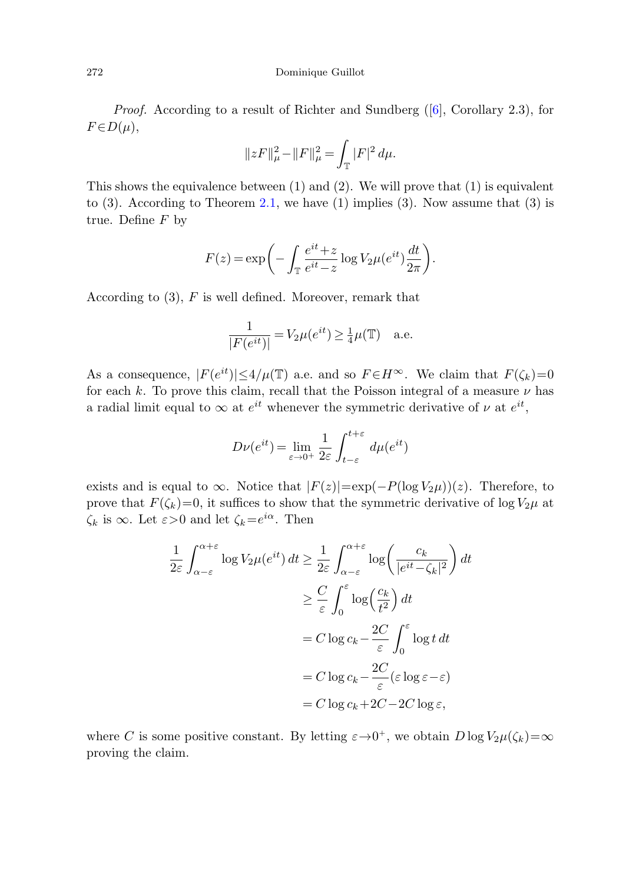#### 272 Dominique Guillot

*Proof.* According to a result of Richter and Sundberg  $([6],$  $([6],$  $([6],$  Corollary 2.3), for  $F \in D(\mu)$ ,

$$
||zF||_{\mu}^{2} - ||F||_{\mu}^{2} = \int_{\mathbb{T}} |F|^{2} d\mu.
$$

This shows the equivalence between  $(1)$  and  $(2)$ . We will prove that  $(1)$  is equivalent to  $(3)$ . According to Theorem [2.1,](#page-2-0) we have  $(1)$  implies  $(3)$ . Now assume that  $(3)$  is true. Define  $F$  by

$$
F(z) = \exp\bigg(-\int_{\mathbb{T}} \frac{e^{it} + z}{e^{it} - z} \log V_2 \mu(e^{it}) \frac{dt}{2\pi}\bigg).
$$

According to  $(3)$ , F is well defined. Moreover, remark that

$$
\frac{1}{|F(e^{it})|} = V_2\mu(e^{it}) \ge \frac{1}{4}\mu(\mathbb{T}) \quad \text{a.e.}
$$

As a consequence,  $|F(e^{it})| \leq 4/\mu(\mathbb{T})$  a.e. and so  $F \in H^{\infty}$ . We claim that  $F(\zeta_k)=0$ for each k. To prove this claim, recall that the Poisson integral of a measure  $\nu$  has a radial limit equal to  $\infty$  at  $e^{it}$  whenever the symmetric derivative of  $\nu$  at  $e^{it}$ ,

$$
D\nu(e^{it}) = \lim_{\varepsilon \to 0^+} \frac{1}{2\varepsilon} \int_{t-\varepsilon}^{t+\varepsilon} d\mu(e^{it})
$$

exists and is equal to  $\infty$ . Notice that  $|F(z)| = \exp(-P(\log V_2\mu))(z)$ . Therefore, to prove that  $F(\zeta_k)=0$ , it suffices to show that the symmetric derivative of  $\log V_2\mu$  at  $\zeta_k$  is  $\infty$ . Let  $\varepsilon > 0$  and let  $\zeta_k = e^{i\alpha}$ . Then

$$
\frac{1}{2\varepsilon} \int_{\alpha-\varepsilon}^{\alpha+\varepsilon} \log V_2 \mu(e^{it}) dt \ge \frac{1}{2\varepsilon} \int_{\alpha-\varepsilon}^{\alpha+\varepsilon} \log \left( \frac{c_k}{|e^{it} - \zeta_k|^2} \right) dt
$$

$$
\ge \frac{C}{\varepsilon} \int_0^\varepsilon \log \left( \frac{c_k}{t^2} \right) dt
$$

$$
= C \log c_k - \frac{2C}{\varepsilon} \int_0^\varepsilon \log t dt
$$

$$
= C \log c_k - \frac{2C}{\varepsilon} (\varepsilon \log \varepsilon - \varepsilon)
$$

$$
= C \log c_k + 2C - 2C \log \varepsilon,
$$

where C is some positive constant. By letting  $\varepsilon \to 0^+$ , we obtain  $D \log V_2 \mu(\zeta_k) = \infty$ proving the claim.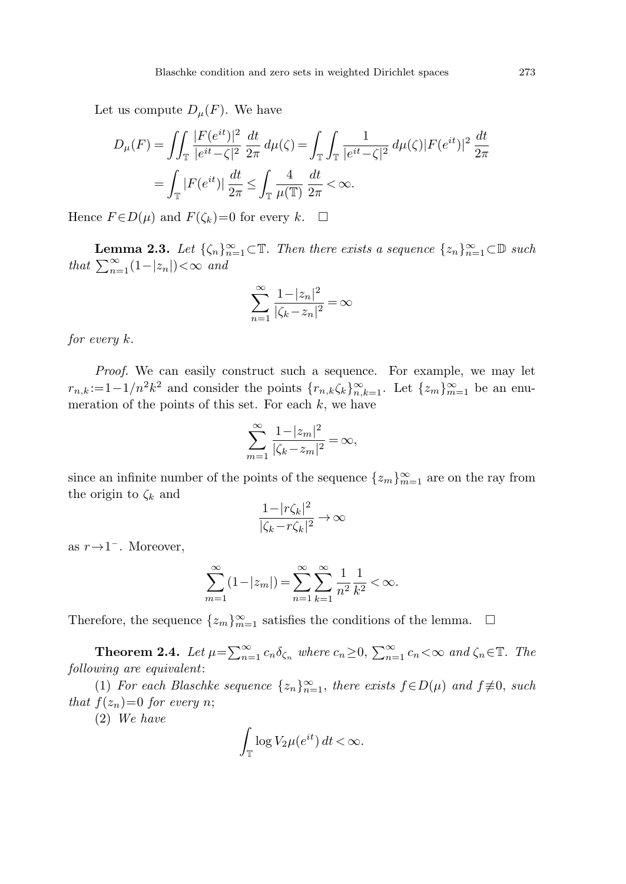<span id="page-4-0"></span>Let us compute  $D_{\mu}(F)$ . We have

$$
D_{\mu}(F) = \iint_{\mathbb{T}} \frac{|F(e^{it})|^2}{|e^{it} - \zeta|^2} \frac{dt}{2\pi} d\mu(\zeta) = \int_{\mathbb{T}} \int_{\mathbb{T}} \frac{1}{|e^{it} - \zeta|^2} d\mu(\zeta) |F(e^{it})|^2 \frac{dt}{2\pi}
$$
  
= 
$$
\int_{\mathbb{T}} |F(e^{it})| \frac{dt}{2\pi} \le \int_{\mathbb{T}} \frac{4}{\mu(\mathbb{T})} \frac{dt}{2\pi} < \infty.
$$

Hence  $F \in D(\mu)$  and  $F(\zeta_k)=0$  for every  $k$ .  $\Box$ 

**Lemma 2.3.** Let  $\{\zeta_n\}_{n=1}^{\infty}$   $\subset$  T. Then there exists a sequence  $\{z_n\}_{n=1}^{\infty}$   $\subset$  D such that  $\sum_{n=1}^{\infty} (1 - |z_n|) < \infty$  and

$$
\sum_{n=1}^\infty \frac{1-|z_n|^2}{|\zeta_k-z_n|^2}=\infty
$$

for every k.

Proof. We can easily construct such a sequence. For example, we may let  $r_{n,k} := 1 - 1/n^2 k^2$  and consider the points  $\{r_{n,k} \zeta_k\}_{n,k=1}^{\infty}$ . Let  $\{z_m\}_{m=1}^{\infty}$  be an enumeration of the points of this set. For each  $k$ , we have

$$
\sum_{m=1}^{\infty} \frac{1 - |z_m|^2}{|\zeta_k - z_m|^2} = \infty,
$$

since an infinite number of the points of the sequence  $\{z_m\}_{m=1}^{\infty}$  are on the ray from the origin to  $\zeta_k$  and

$$
\frac{1-|r\zeta_k|^2}{|\zeta_k-r\zeta_k|^2}\to\infty
$$

as  $r\rightarrow1^-$ . Moreover,

$$
\sum_{m=1}^{\infty} (1 - |z_m|) = \sum_{n=1}^{\infty} \sum_{k=1}^{\infty} \frac{1}{n^2} \frac{1}{k^2} < \infty.
$$

Therefore, the sequence  $\{z_m\}_{m=1}^{\infty}$  satisfies the conditions of the lemma.  $\Box$ 

**Theorem 2.4.** Let  $\mu = \sum_{n=1}^{\infty} c_n \delta_{\zeta_n}$  where  $c_n \geq 0$ ,  $\sum_{n=1}^{\infty} c_n < \infty$  and  $\zeta_n \in \mathbb{T}$ . The following are equivalent:

(1) For each Blaschke sequence  $\{z_n\}_{n=1}^{\infty}$ , there exists  $f \in D(\mu)$  and  $f \neq 0$ , such that  $f(z_n)=0$  for every n;

(2) We have

$$
\int_{\mathbb{T}} \log V_2 \mu(e^{it}) dt < \infty.
$$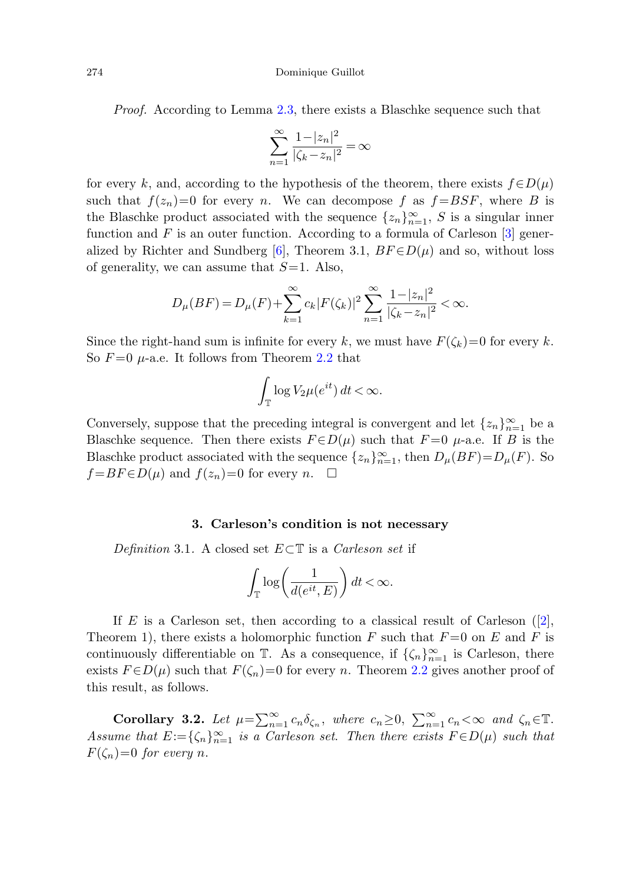Proof. According to Lemma [2.3](#page-4-0), there exists a Blaschke sequence such that

$$
\sum_{n=1}^{\infty} \frac{1-|z_n|^2}{|\zeta_k-z_n|^2} = \infty
$$

for every k, and, according to the hypothesis of the theorem, there exists  $f \in D(\mu)$ such that  $f(z_n)=0$  for every n. We can decompose f as  $f=BSF$ , where B is the Blaschke product associated with the sequence  $\{z_n\}_{n=1}^{\infty}$ , S is a singular inner function and  $F$  is an outer function. According to a formula of Carleson  $\lceil 3 \rceil$  gener-alized by Richter and Sundberg [\[6](#page-8-3)], Theorem 3.1,  $BF \in D(\mu)$  and so, without loss of generality, we can assume that  $S=1$ . Also,

$$
D_{\mu}(BF) = D_{\mu}(F) + \sum_{k=1}^{\infty} c_k |F(\zeta_k)|^2 \sum_{n=1}^{\infty} \frac{1 - |z_n|^2}{|\zeta_k - z_n|^2} < \infty.
$$

Since the right-hand sum is infinite for every k, we must have  $F(\zeta_k)=0$  for every k. So  $F=0$   $\mu$ -a.e. It follows from Theorem [2.2](#page-2-1) that

$$
\int_{\mathbb{T}} \log V_2 \mu(e^{it}) dt < \infty.
$$

Conversely, suppose that the preceding integral is convergent and let  $\{z_n\}_{n=1}^{\infty}$  be a Blaschke sequence. Then there exists  $F \in D(\mu)$  such that  $F = 0$   $\mu$ -a.e. If B is the Blaschke product associated with the sequence  $\{z_n\}_{n=1}^{\infty}$ , then  $D_{\mu}(BF) = D_{\mu}(F)$ . So  $f = BF \in D(\mu)$  and  $f(z_n) = 0$  for every *n*.  $\Box$ 

#### **3. Carleson's condition is not necessary**

Definition 3.1. A closed set  $E \subset \mathbb{T}$  is a *Carleson set* if

$$
\int_{\mathbb{T}} \log\biggl(\frac{1}{d(e^{it},E)}\biggr)\, dt < \infty.
$$

If E is a Carleson set, then according to a classical result of Carleson  $(2)$ , Theorem 1), there exists a holomorphic function F such that  $F=0$  on E and F is continuously differentiable on  $\mathbb{T}$ . As a consequence, if  $\{\zeta_n\}_{n=1}^{\infty}$  is Carleson, there exists  $F \in D(\mu)$  such that  $F(\zeta_n)=0$  for every n. Theorem [2.2](#page-2-1) gives another proof of this result, as follows.

**Corollary 3.2.** Let  $\mu = \sum_{n=1}^{\infty} c_n \delta_{\zeta_n}$ , where  $c_n \geq 0$ ,  $\sum_{n=1}^{\infty} c_n < \infty$  and  $\zeta_n \in \mathbb{T}$ . Assume that  $E:=\{\zeta_n\}_{n=1}^{\infty}$  is a Carleson set. Then there exists  $F \in D(\mu)$  such that  $F(\zeta_n)=0$  for every n.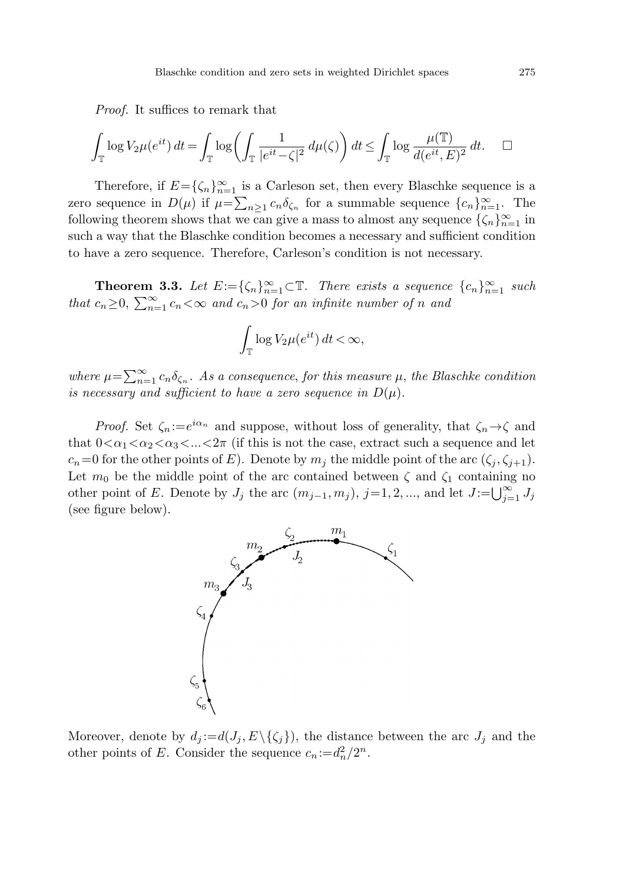Proof. It suffices to remark that

$$
\int_{\mathbb{T}} \log V_2 \mu(e^{it}) dt = \int_{\mathbb{T}} \log \left( \int_{\mathbb{T}} \frac{1}{|e^{it} - \zeta|^2} d\mu(\zeta) \right) dt \le \int_{\mathbb{T}} \log \frac{\mu(\mathbb{T})}{d(e^{it}, E)^2} dt. \quad \Box
$$

Therefore, if  $E = \{\zeta_n\}_{n=1}^{\infty}$  is a Carleson set, then every Blaschke sequence is a zero sequence in  $D(\mu)$  if  $\mu = \sum_{n\geq 1} c_n \delta_{\zeta_n}$  for a summable sequence  $\{c_n\}_{n=1}^{\infty}$ . The following theorem shows that we can give a mass to almost any sequence  $\{\zeta_n\}_{n=1}^{\infty}$  in such a way that the Blaschke condition becomes a necessary and sufficient condition to have a zero sequence. Therefore, Carleson's condition is not necessary.

**Theorem 3.3.** Let  $E:=\{\zeta_n\}_{n=1}^{\infty}\subset\mathbb{T}$ . There exists a sequence  $\{c_n\}_{n=1}^{\infty}$  such that  $c_n \geq 0$ ,  $\sum_{n=1}^{\infty} c_n < \infty$  and  $c_n > 0$  for an infinite number of n and

$$
\int_{\mathbb{T}} \log V_2 \mu(e^{it}) dt < \infty,
$$

where  $\mu = \sum_{n=1}^{\infty} c_n \delta_{\zeta_n}$ . As a consequence, for this measure  $\mu$ , the Blaschke condition is necessary and sufficient to have a zero sequence in  $D(\mu)$ .

*Proof.* Set  $\zeta_n := e^{i\alpha_n}$  and suppose, without loss of generality, that  $\zeta_n \to \zeta$  and that  $0<\alpha_1<\alpha_2<\alpha_3<\ldots<2\pi$  (if this is not the case, extract such a sequence and let  $c_n=0$  for the other points of E). Denote by  $m_j$  the middle point of the arc  $(\zeta_i, \zeta_{i+1})$ . other point of E. Denote by  $J_j$  the arc  $(m_{j-1}, m_j)$ , j=1, 2, ..., and let  $J := \bigcup_{j=1}^{\infty} J_j$ (see figure below).



Moreover, denote by  $d_j := d(J_j, E \setminus {\{\zeta_j\}})$ , the distance between the arc  $J_j$  and the other points of E. Consider the sequence  $c_n := d_n^2/2^n$ .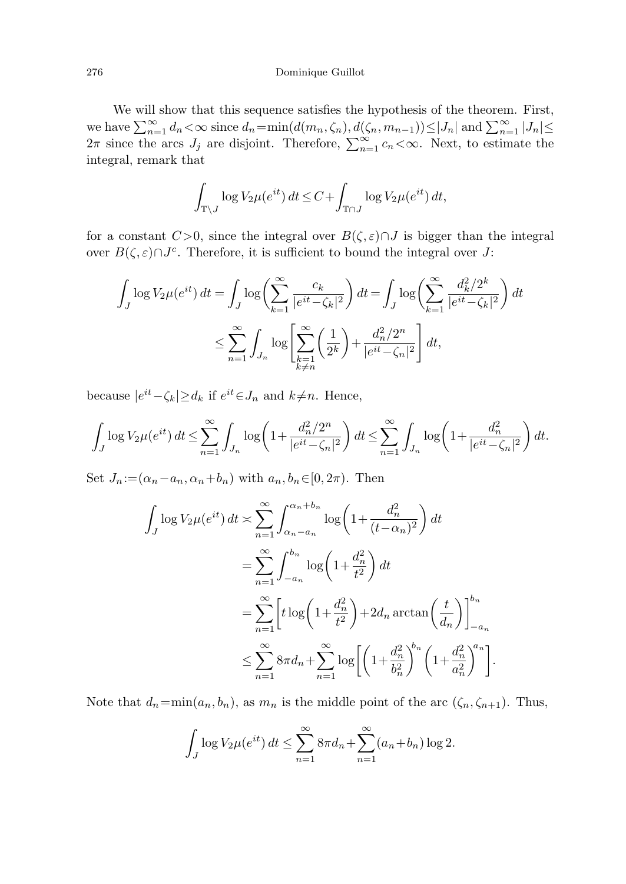We will show that this sequence satisfies the hypothesis of the theorem. First, we have  $\sum_{n=1}^{\infty} d_n < \infty$  since  $d_n = \min(d(m_n, \zeta_n), d(\zeta_n, m_{n-1})) \leq |J_n|$  and  $\sum_{n=1}^{\infty} |J_n| \leq$  $2\pi$  since the arcs  $J_j$  are disjoint. Therefore,  $\sum_{n=1}^{\infty} c_n < \infty$ . Next, to estimate the integral, remark that

$$
\int_{\mathbb{T}\setminus J} \log V_2 \mu(e^{it}) dt \le C + \int_{\mathbb{T}\cap J} \log V_2 \mu(e^{it}) dt,
$$

for a constant  $C>0$ , since the integral over  $B(\zeta,\varepsilon)\cap J$  is bigger than the integral over  $B(\zeta,\varepsilon)\cap J^c$ . Therefore, it is sufficient to bound the integral over J:

$$
\int_J \log V_2 \mu(e^{it}) dt = \int_J \log \left( \sum_{k=1}^{\infty} \frac{c_k}{|e^{it} - \zeta_k|^2} \right) dt = \int_J \log \left( \sum_{k=1}^{\infty} \frac{d_k^2/2^k}{|e^{it} - \zeta_k|^2} \right) dt
$$
  

$$
\leq \sum_{n=1}^{\infty} \int_{J_n} \log \left[ \sum_{\substack{k=1 \ k \neq n}}^{\infty} \left( \frac{1}{2^k} \right) + \frac{d_n^2/2^n}{|e^{it} - \zeta_n|^2} \right] dt,
$$

because  $|e^{it} - \zeta_k| \geq d_k$  if  $e^{it} \in J_n$  and  $k \neq n$ . Hence,

$$
\int_{J} \log V_2 \mu(e^{it}) dt \le \sum_{n=1}^{\infty} \int_{J_n} \log \left( 1 + \frac{d_n^2/2^n}{|e^{it} - \zeta_n|^2} \right) dt \le \sum_{n=1}^{\infty} \int_{J_n} \log \left( 1 + \frac{d_n^2}{|e^{it} - \zeta_n|^2} \right) dt.
$$

Set  $J_n := (\alpha_n - a_n, \alpha_n + b_n)$  with  $a_n, b_n \in [0, 2\pi)$ . Then

$$
\int_{J} \log V_2 \mu(e^{it}) dt \approx \sum_{n=1}^{\infty} \int_{\alpha_n - a_n}^{\alpha_n + b_n} \log \left( 1 + \frac{d_n^2}{(t - \alpha_n)^2} \right) dt
$$

$$
= \sum_{n=1}^{\infty} \int_{-a_n}^{b_n} \log \left( 1 + \frac{d_n^2}{t^2} \right) dt
$$

$$
= \sum_{n=1}^{\infty} \left[ t \log \left( 1 + \frac{d_n^2}{t^2} \right) + 2d_n \arctan \left( \frac{t}{d_n} \right) \right]_{-a_n}^{b_n}
$$

$$
\leq \sum_{n=1}^{\infty} 8\pi d_n + \sum_{n=1}^{\infty} \log \left[ \left( 1 + \frac{d_n^2}{b_n^2} \right)^{b_n} \left( 1 + \frac{d_n^2}{a_n^2} \right)^{a_n} \right]
$$

Note that  $d_n = \min(a_n, b_n)$ , as  $m_n$  is the middle point of the arc  $(\zeta_n, \zeta_{n+1})$ . Thus,

.

$$
\int_{J} \log V_2 \mu(e^{it}) dt \le \sum_{n=1}^{\infty} 8\pi d_n + \sum_{n=1}^{\infty} (a_n + b_n) \log 2.
$$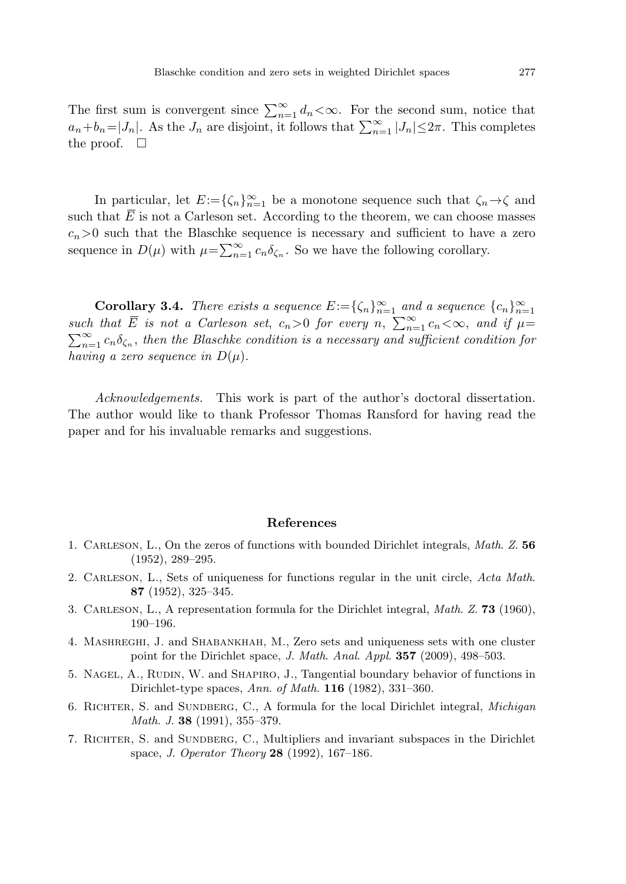The first sum is convergent since  $\sum_{n=1}^{\infty} d_n < \infty$ . For the second sum, notice that  $a_n+b_n=|J_n|$ . As the  $J_n$  are disjoint, it follows that  $\sum_{n=1}^{\infty} |J_n| \leq 2\pi$ . This completes the proof.  $\Box$ 

In particular, let  $E = {\zeta_n}_{n=1}^{\infty}$  be a monotone sequence such that  $\zeta_n \to \zeta$  and such that  $\overline{E}$  is not a Carleson set. According to the theorem, we can choose masses  $c_n>0$  such that the Blaschke sequence is necessary and sufficient to have a zero sequence in  $D(\mu)$  with  $\mu = \sum_{n=1}^{\infty} c_n \delta_{\zeta_n}$ . So we have the following corollary.

**Corollary 3.4.** There exists a sequence  $E = \{\zeta_n\}_{n=1}^{\infty}$  and a sequence  $\{c_n\}_{n=1}^{\infty}$ such that  $\overline{E}$  is not a Carleson set,  $c_n>0$  for every n,  $\sum_{n=1}^{\infty} c_n<\infty$ , and if  $\mu=$  $\sum_{n=1}^{\infty} c_n \delta_{\zeta_n}$ , then the Blaschke condition is a necessary and sufficient condition for having a zero sequence in  $D(\mu)$ .

<span id="page-8-6"></span><span id="page-8-0"></span>Acknowledgements. This work is part of the author's doctoral dissertation. The author would like to thank Professor Thomas Ransford for having read the paper and for his invaluable remarks and suggestions.

# **References**

- <span id="page-8-5"></span><span id="page-8-2"></span><span id="page-8-1"></span>1. Carleson, L., On the zeros of functions with bounded Dirichlet integrals, Math. Z. **56** (1952), 289–295.
- <span id="page-8-3"></span>2. CARLESON, L., Sets of uniqueness for functions regular in the unit circle, Acta Math. **87** (1952), 325–345.
- <span id="page-8-4"></span>3. Carleson, L., A representation formula for the Dirichlet integral, Math. Z. **73** (1960), 190–196.
- 4. Mashreghi, J. and Shabankhah, M., Zero sets and uniqueness sets with one cluster point for the Dirichlet space, J. Math. Anal. Appl. **357** (2009), 498–503.
- 5. Nagel, A., Rudin, W. and Shapiro, J., Tangential boundary behavior of functions in Dirichlet-type spaces, Ann. of Math. **116** (1982), 331–360.
- 6. RICHTER, S. and SUNDBERG, C., A formula for the local Dirichlet integral, *Michigan* Math. J. **38** (1991), 355–379.
- 7. RICHTER, S. and SUNDBERG, C., Multipliers and invariant subspaces in the Dirichlet space, J. Operator Theory **28** (1992), 167–186.